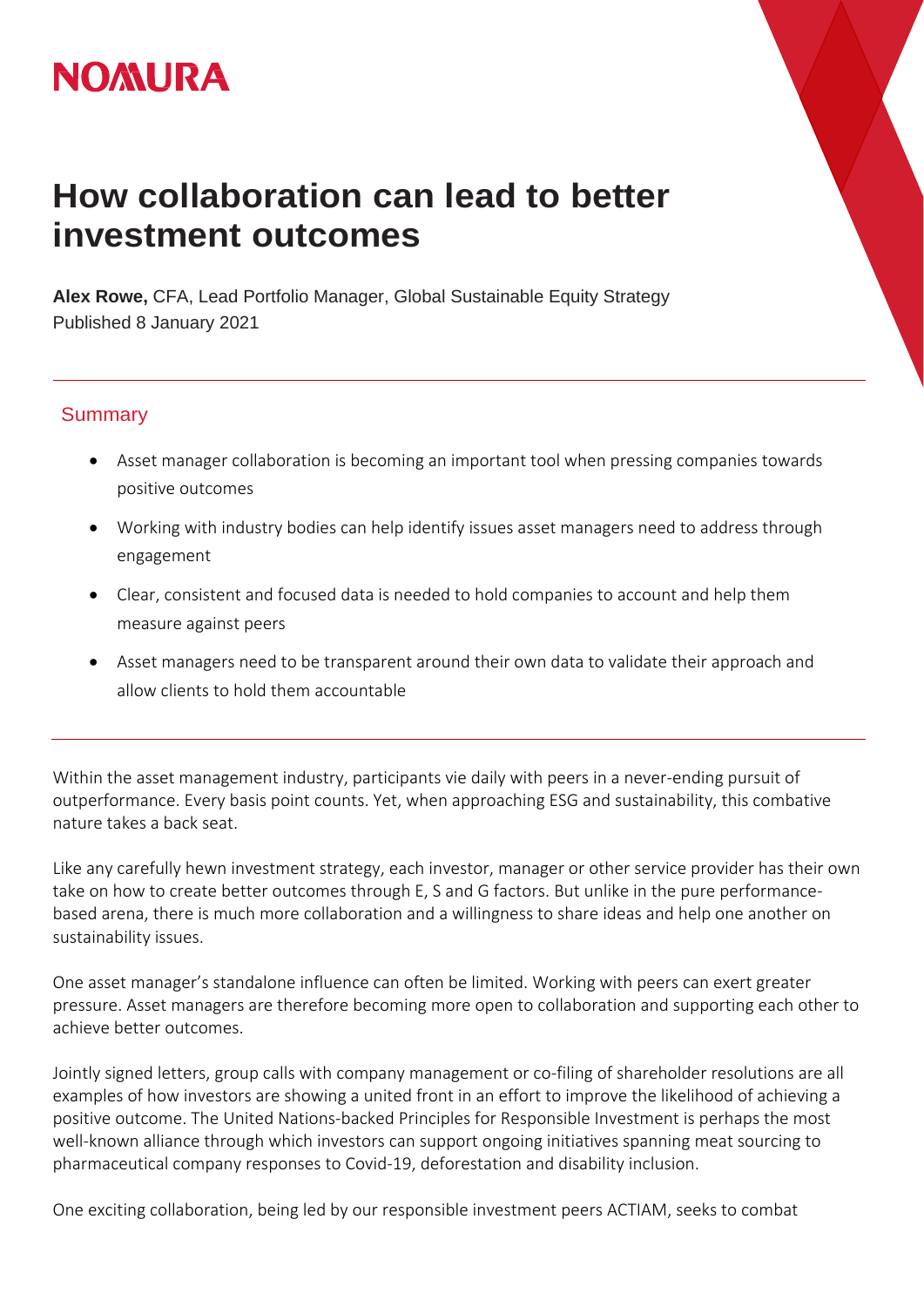## **NOMURA**

## **How collaboration can lead to better investment outcomes**

**Alex Rowe,** CFA, Lead Portfolio Manager, Global Sustainable Equity Strategy Published 8 January 2021

## **Summary**

- Asset manager collaboration is becoming an important tool when pressing companies towards positive outcomes
- Working with industry bodies can help identify issues asset managers need to address through engagement
- Clear, consistent and focused data is needed to hold companies to account and help them measure against peers
- Asset managers need to be transparent around their own data to validate their approach and allow clients to hold them accountable

Within the asset management industry, participants vie daily with peers in a never-ending pursuit of outperformance. Every basis point counts. Yet, when approaching ESG and sustainability, this combative nature takes a back seat.

Like any carefully hewn investment strategy, each investor, manager or other service provider has their own take on how to create better outcomes through E, S and G factors. But unlike in the pure performancebased arena, there is much more collaboration and a willingness to share ideas and help one another on sustainability issues.

One asset manager's standalone influence can often be limited. Working with peers can exert greater pressure. Asset managers are therefore becoming more open to collaboration and supporting each other to achieve better outcomes.

Jointly signed letters, group calls with company management or co-filing of shareholder resolutions are all examples of how investors are showing a united front in an effort to improve the likelihood of achieving a positive outcome. The United Nations-backed Principles for Responsible Investment is perhaps the most well-known alliance through which investors can support ongoing initiatives spanning meat sourcing to pharmaceutical company responses to Covid-19, deforestation and disability inclusion.

One exciting collaboration, being led by our responsible investment peers ACTIAM, seeks to combat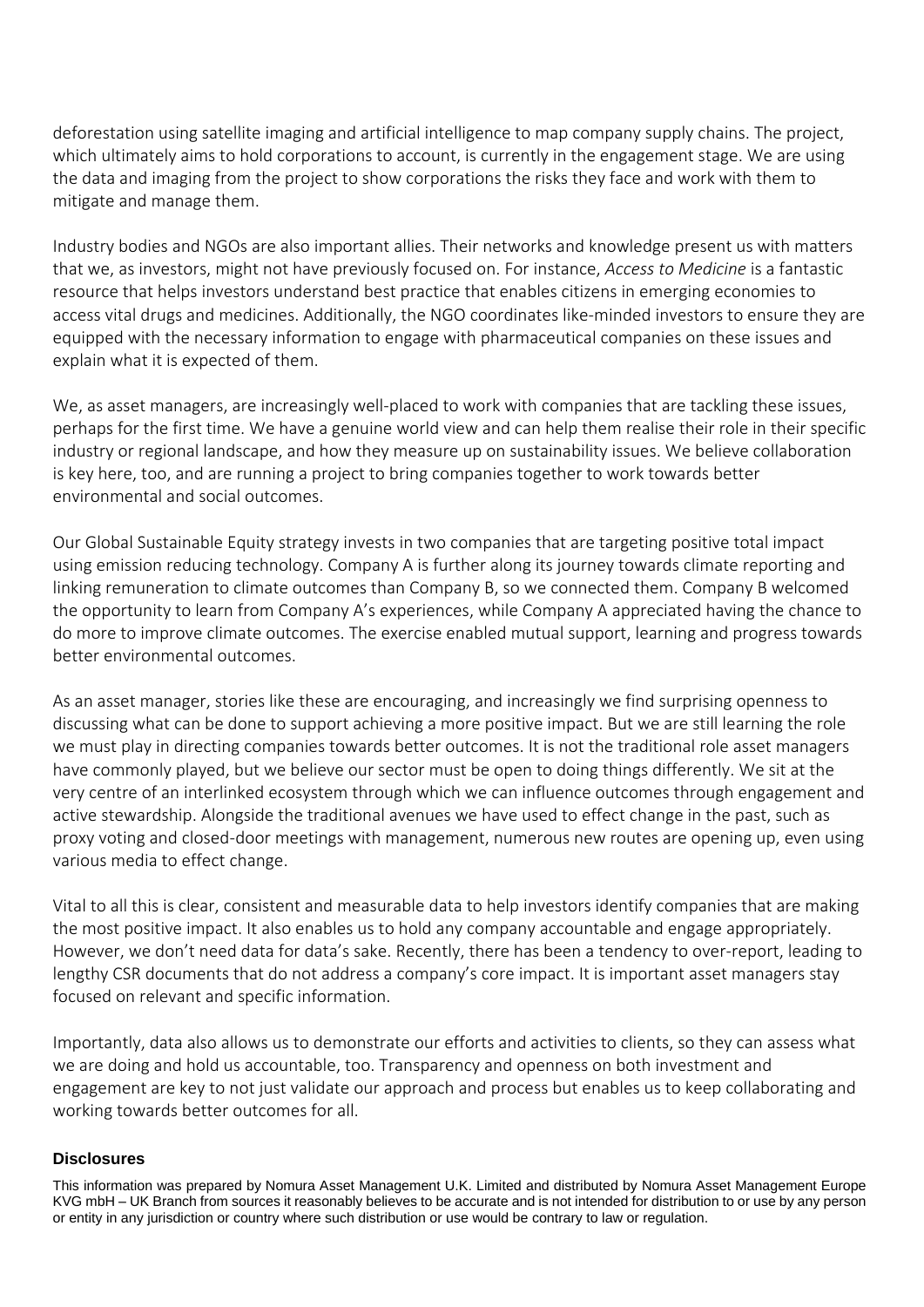deforestation using satellite imaging and artificial intelligence to map company supply chains. The project, which ultimately aims to hold corporations to account, is currently in the engagement stage. We are using the data and imaging from the project to show corporations the risks they face and work with them to mitigate and manage them.

Industry bodies and NGOs are also important allies. Their networks and knowledge present us with matters that we, as investors, might not have previously focused on. For instance, *Access to Medicine* is a fantastic resource that helps investors understand best practice that enables citizens in emerging economies to access vital drugs and medicines. Additionally, the NGO coordinates like-minded investors to ensure they are equipped with the necessary information to engage with pharmaceutical companies on these issues and explain what it is expected of them.

We, as asset managers, are increasingly well-placed to work with companies that are tackling these issues, perhaps for the first time. We have a genuine world view and can help them realise their role in their specific industry or regional landscape, and how they measure up on sustainability issues. We believe collaboration is key here, too, and are running a project to bring companies together to work towards better environmental and social outcomes.

Our Global Sustainable Equity strategy invests in two companies that are targeting positive total impact using emission reducing technology. Company A is further along its journey towards climate reporting and linking remuneration to climate outcomes than Company B, so we connected them. Company B welcomed the opportunity to learn from Company A's experiences, while Company A appreciated having the chance to do more to improve climate outcomes. The exercise enabled mutual support, learning and progress towards better environmental outcomes.

As an asset manager, stories like these are encouraging, and increasingly we find surprising openness to discussing what can be done to support achieving a more positive impact. But we are still learning the role we must play in directing companies towards better outcomes. It is not the traditional role asset managers have commonly played, but we believe our sector must be open to doing things differently. We sit at the very centre of an interlinked ecosystem through which we can influence outcomes through engagement and active stewardship. Alongside the traditional avenues we have used to effect change in the past, such as proxy voting and closed-door meetings with management, numerous new routes are opening up, even using various media to effect change.

Vital to all this is clear, consistent and measurable data to help investors identify companies that are making the most positive impact. It also enables us to hold any company accountable and engage appropriately. However, we don't need data for data's sake. Recently, there has been a tendency to over-report, leading to lengthy CSR documents that do not address a company's core impact. It is important asset managers stay focused on relevant and specific information.

Importantly, data also allows us to demonstrate our efforts and activities to clients, so they can assess what we are doing and hold us accountable, too. Transparency and openness on both investment and engagement are key to not just validate our approach and process but enables us to keep collaborating and working towards better outcomes for all.

## **Disclosures**

This information was prepared by Nomura Asset Management U.K. Limited and distributed by Nomura Asset Management Europe KVG mbH – UK Branch from sources it reasonably believes to be accurate and is not intended for distribution to or use by any person or entity in any jurisdiction or country where such distribution or use would be contrary to law or regulation.